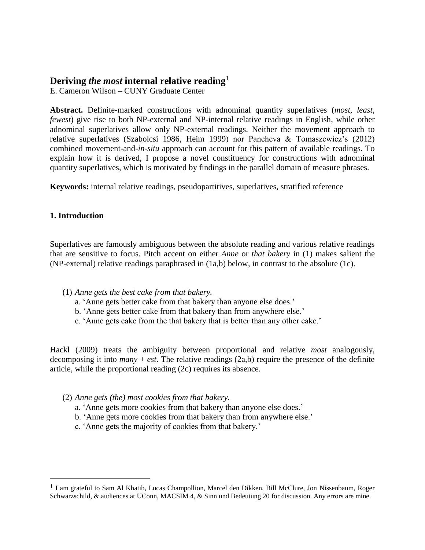# **Deriving** *the most* **internal relative reading<sup>1</sup>**

E. Cameron Wilson – CUNY Graduate Center

**Abstract.** Definite-marked constructions with adnominal quantity superlatives (*most, least, fewest*) give rise to both NP-external and NP-internal relative readings in English, while other adnominal superlatives allow only NP-external readings. Neither the movement approach to relative superlatives (Szabolcsi 1986, Heim 1999) nor Pancheva & Tomaszewicz's (2012) combined movement-and-*in-situ* approach can account for this pattern of available readings. To explain how it is derived, I propose a novel constituency for constructions with adnominal quantity superlatives, which is motivated by findings in the parallel domain of measure phrases.

**Keywords:** internal relative readings, pseudopartitives, superlatives, stratified reference

#### **1. Introduction**

 $\overline{\phantom{a}}$ 

Superlatives are famously ambiguous between the absolute reading and various relative readings that are sensitive to focus. Pitch accent on either *Anne* or *that bakery* in (1) makes salient the (NP-external) relative readings paraphrased in (1a,b) below, in contrast to the absolute (1c).

#### (1) *Anne gets the best cake from that bakery.*

- a. 'Anne gets better cake from that bakery than anyone else does.'
- b. 'Anne gets better cake from that bakery than from anywhere else.'
- c. 'Anne gets cake from the that bakery that is better than any other cake.'

Hackl (2009) treats the ambiguity between proportional and relative *most* analogously, decomposing it into *many* + *est*. The relative readings (2a,b) require the presence of the definite article, while the proportional reading (2c) requires its absence.

- (2) *Anne gets (the) most cookies from that bakery.*
	- a. 'Anne gets more cookies from that bakery than anyone else does.'
	- b. 'Anne gets more cookies from that bakery than from anywhere else.'
	- c. 'Anne gets the majority of cookies from that bakery.'

<sup>1</sup> I am grateful to Sam Al Khatib, Lucas Champollion, Marcel den Dikken, Bill McClure, Jon Nissenbaum, Roger Schwarzschild, & audiences at UConn, MACSIM 4, & Sinn und Bedeutung 20 for discussion. Any errors are mine.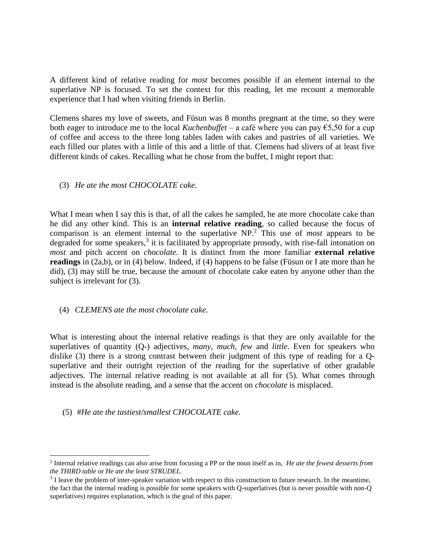A different kind of relative reading for *most* becomes possible if an element internal to the superlative NP is focused. To set the context for this reading, let me recount a memorable experience that I had when visiting friends in Berlin.

Clemens shares my love of sweets, and Füsun was 8 months pregnant at the time, so they were both eager to introduce me to the local *Kuchenbuffet –* a café where you can pay €5,50 for a cup of coffee and access to the three long tables laden with cakes and pastries of all varieties. We each filled our plates with a little of this and a little of that. Clemens had slivers of at least five different kinds of cakes. Recalling what he chose from the buffet, I might report that:

### (3) *He ate the most CHOCOLATE cake.*

What I mean when I say this is that, of all the cakes he sampled, he ate more chocolate cake than he did any other kind. This is an **internal relative reading**, so called because the focus of comparison is an element internal to the superlative NP.<sup>2</sup> This use of *most* appears to be degraded for some speakers,<sup>3</sup> it is facilitated by appropriate prosody, with rise-fall intonation on *most* and pitch accent on *chocolate.* It is distinct from the more familiar **external relative readings** in (2a,b), or in (4) below. Indeed, if (4) happens to be false (Füsun or I ate more than he did), (3) may still be true, because the amount of chocolate cake eaten by anyone other than the subject is irrelevant for (3).

### (4) *CLEMENS ate the most chocolate cake.*

What is interesting about the internal relative readings is that they are only available for the superlatives of quantity (Q-) adjectives, *many, much, few* and *little*. Even for speakers who dislike (3) there is a strong contrast between their judgment of this type of reading for a Qsuperlative and their outright rejection of the reading for the superlative of other gradable adjectives. The internal relative reading is not available at all for (5). What comes through instead is the absolute reading, and a sense that the accent on *chocolate* is misplaced.

(5) #*He ate the tastiest/smallest CHOCOLATE cake.*

l

<sup>2</sup> Internal relative readings can also arise from focusing a PP or the noun itself as in, *He ate the fewest desserts from the THIRD table* or *He ate the least STRUDEL.*

 $3$  I leave the problem of inter-speaker variation with respect to this construction to future research. In the meantime, the fact that the internal reading is possible for some speakers with Q-superlatives (but is never possible with non-Q superlatives) requires explanation, which is the goal of this paper.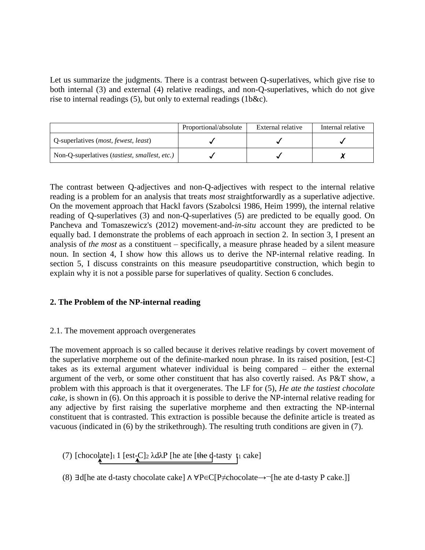Let us summarize the judgments. There is a contrast between Q-superlatives, which give rise to both internal (3) and external (4) relative readings, and non-Q-superlatives, which do not give rise to internal readings (5), but only to external readings (1b&c).

|                                               | Proportional/absolute | External relative | Internal relative |
|-----------------------------------------------|-----------------------|-------------------|-------------------|
| Q-superlatives ( <i>most, fewest, least</i> ) |                       |                   |                   |
| Non-Q-superlatives (tastiest, smallest, etc.) |                       |                   |                   |

The contrast between Q-adjectives and non-Q-adjectives with respect to the internal relative reading is a problem for an analysis that treats *most* straightforwardly as a superlative adjective. On the movement approach that Hackl favors (Szabolcsi 1986, Heim 1999), the internal relative reading of Q-superlatives (3) and non-Q-superlatives (5) are predicted to be equally good. On Pancheva and Tomaszewicz's (2012) movement-and-*in-situ* account they are predicted to be equally bad. I demonstrate the problems of each approach in section 2. In section 3, I present an analysis of *the most* as a constituent *–* specifically, a measure phrase headed by a silent measure noun. In section 4, I show how this allows us to derive the NP-internal relative reading. In section 5, I discuss constraints on this measure pseudopartitive construction, which begin to explain why it is not a possible parse for superlatives of quality. Section 6 concludes.

### **2. The Problem of the NP-internal reading**

### 2.1. The movement approach overgenerates

The movement approach is so called because it derives relative readings by covert movement of the superlative morpheme out of the definite-marked noun phrase. In its raised position, [est-C] takes as its external argument whatever individual is being compared *–* either the external argument of the verb, or some other constituent that has also covertly raised. As P&T show, a problem with this approach is that it overgenerates. The LF for (5), *He ate the tastiest chocolate cake*, is shown in (6). On this approach it is possible to derive the NP-internal relative reading for any adjective by first raising the superlative morpheme and then extracting the NP-internal constituent that is contrasted. This extraction is possible because the definite article is treated as vacuous (indicated in (6) by the strikethrough). The resulting truth conditions are given in (7).

(7)  $[chocolate]_1 1 [est_C]_2 \lambda d\lambda P$  [he ate [the d-tasty  $\lambda$ ] cake]

(8) ∃d[he ate d-tasty chocolate cake] ⋀ ∀P∈C[P≠chocolate→¬[he ate d-tasty P cake.]]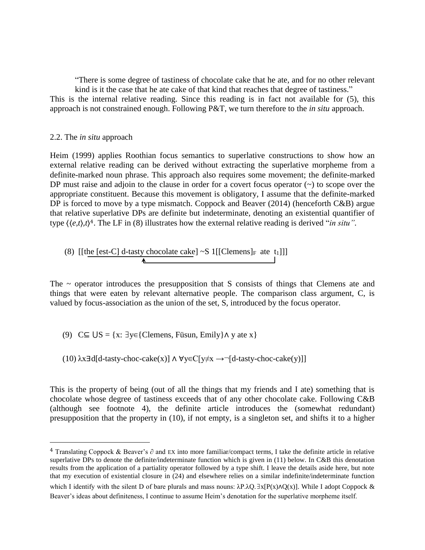"There is some degree of tastiness of chocolate cake that he ate, and for no other relevant kind is it the case that he ate cake of that kind that reaches that degree of tastiness."

This is the internal relative reading. Since this reading is in fact not available for (5), this approach is not constrained enough. Following P&T, we turn therefore to the *in situ* approach.

#### 2.2. The *in situ* approach

 $\overline{\phantom{a}}$ 

Heim (1999) applies Roothian focus semantics to superlative constructions to show how an external relative reading can be derived without extracting the superlative morpheme from a definite-marked noun phrase. This approach also requires some movement; the definite-marked DP must raise and adjoin to the clause in order for a covert focus operator  $(\sim)$  to scope over the appropriate constituent. Because this movement is obligatory, I assume that the definite-marked DP is forced to move by a type mismatch. Coppock and Beaver (2014) (henceforth C&B) argue that relative superlative DPs are definite but indeterminate, denoting an existential quantifier of type ⟨⟨*e,t*⟩,*t*⟩ <sup>4</sup>. The LF in (8) illustrates how the external relative reading is derived "*in situ".*

(8) [[the [est-C] d-tasty chocolate cake] ~S 
$$
1[[\text{Clemens}]_F
$$
 ate  $t_1]]]$ 

The  $\sim$  operator introduces the presupposition that S consists of things that Clemens ate and things that were eaten by relevant alternative people. The comparison class argument, C, is valued by focus-association as the union of the set, S, introduced by the focus operator.

(9)  $C \subseteq US = \{x: \exists y \in \{\text{Clemens}, \text{Füsun}, \text{Emily}\}\land y \text{ ate } x\}$ 

(10) 
$$
\lambda x \exists d[d\text{-tasky-choc-cake(x)]} \land \forall y \in C[y \neq x \rightarrow \neg[d\text{-tasky-choc-cake(y)]]}
$$

This is the property of being (out of all the things that my friends and I ate) something that is chocolate whose degree of tastiness exceeds that of any other chocolate cake. Following C&B (although see footnote 4), the definite article introduces the (somewhat redundant) presupposition that the property in (10), if not empty, is a singleton set, and shifts it to a higher

<sup>&</sup>lt;sup>4</sup> Translating Coppock & Beaver's ∂ and EX into more familiar/compact terms, I take the definite article in relative superlative DPs to denote the definite/indeterminate function which is given in (11) below. In C&B this denotation results from the application of a partiality operator followed by a type shift. I leave the details aside here, but note that my execution of existential closure in (24) and elsewhere relies on a similar indefinite/indeterminate function

which I identify with the silent D of bare plurals and mass nouns:  $\lambda P \cdot \lambda Q \cdot \exists x [P(x) \wedge Q(x)]$ . While I adopt Coppock & Beaver's ideas about definiteness, I continue to assume Heim's denotation for the superlative morpheme itself.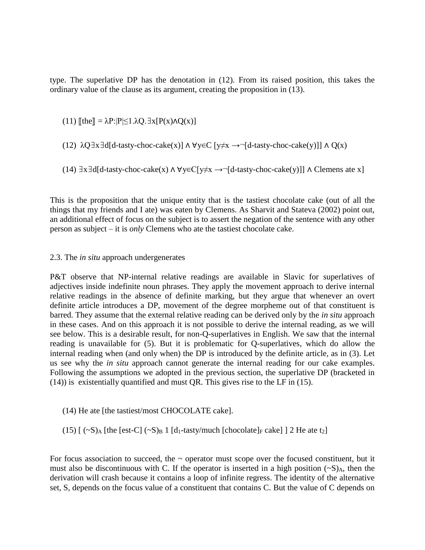type. The superlative DP has the denotation in (12). From its raised position, this takes the ordinary value of the clause as its argument, creating the proposition in (13).

(11)  $\llbracket \text{the} \rrbracket = \lambda P : |P| \leq 1 \cdot \lambda Q \cdot \exists x [P(x) \land Q(x)]$ 

(12) 
$$
\lambda Q \exists x \exists d[d\text{-tasky-choc-cake(x)]} \land \forall y \in C [y \neq x \rightarrow \neg[d\text{-tasky-choc-cake(y)]} \land Q(x)
$$

(14)  $\exists x \exists d[d\text{-task}(x) \land \forall y \in C[y \neq x \rightarrow \neg[d\text{-task}(y)]] \land Clemens \text{ate } x]$ 

This is the proposition that the unique entity that is the tastiest chocolate cake (out of all the things that my friends and I ate) was eaten by Clemens. As Sharvit and Stateva (2002) point out, an additional effect of focus on the subject is to assert the negation of the sentence with any other person as subject – it is *only* Clemens who ate the tastiest chocolate cake.

#### 2.3. The *in situ* approach undergenerates

P&T observe that NP-internal relative readings are available in Slavic for superlatives of adjectives inside indefinite noun phrases. They apply the movement approach to derive internal relative readings in the absence of definite marking, but they argue that whenever an overt definite article introduces a DP, movement of the degree morpheme out of that constituent is barred. They assume that the external relative reading can be derived only by the *in situ* approach in these cases. And on this approach it is not possible to derive the internal reading, as we will see below. This is a desirable result, for non-Q-superlatives in English. We saw that the internal reading is unavailable for (5). But it is problematic for Q-superlatives, which do allow the internal reading when (and only when) the DP is introduced by the definite article, as in (3). Let us see why the *in situ* approach cannot generate the internal reading for our cake examples. Following the assumptions we adopted in the previous section, the superlative DP (bracketed in (14)) is existentially quantified and must QR. This gives rise to the LF in (15).

- (14) He ate [the tastiest/most CHOCOLATE cake].
- (15)  $[(-S)$ <sub>A</sub> [the [est-C]  $(-S)$ <sub>B</sub> 1 [d<sub>1</sub>-tasty/much [chocolate]<sub>F</sub> cake] ] 2 He ate t<sub>2</sub>]

For focus association to succeed, the  $\sim$  operator must scope over the focused constituent, but it must also be discontinuous with C. If the operator is inserted in a high position  $(-S)_{A}$ , then the derivation will crash because it contains a loop of infinite regress. The identity of the alternative set, S, depends on the focus value of a constituent that contains C. But the value of C depends on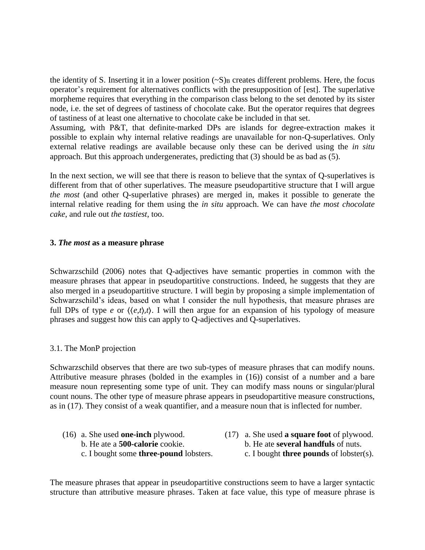the identity of S. Inserting it in a lower position  $(-S)$ <sub>B</sub> creates different problems. Here, the focus operator's requirement for alternatives conflicts with the presupposition of [est]. The superlative morpheme requires that everything in the comparison class belong to the set denoted by its sister node, i.e. the set of degrees of tastiness of chocolate cake. But the operator requires that degrees of tastiness of at least one alternative to chocolate cake be included in that set.

Assuming, with P&T, that definite-marked DPs are islands for degree-extraction makes it possible to explain why internal relative readings are unavailable for non-Q-superlatives. Only external relative readings are available because only these can be derived using the *in situ* approach. But this approach undergenerates, predicting that (3) should be as bad as (5).

In the next section, we will see that there is reason to believe that the syntax of Q-superlatives is different from that of other superlatives. The measure pseudopartitive structure that I will argue *the most* (and other Q-superlative phrases) are merged in, makes it possible to generate the internal relative reading for them using the *in situ* approach. We can have *the most chocolate cake*, and rule out *the tastiest*, too.

#### **3.** *The most* **as a measure phrase**

Schwarzschild (2006) notes that Q-adjectives have semantic properties in common with the measure phrases that appear in pseudopartitive constructions. Indeed, he suggests that they are also merged in a pseudopartitive structure. I will begin by proposing a simple implementation of Schwarzschild's ideas, based on what I consider the null hypothesis, that measure phrases are full DPs of type *e* or  $\langle \langle e, t \rangle, t \rangle$ . I will then argue for an expansion of his typology of measure phrases and suggest how this can apply to Q-adjectives and Q-superlatives.

### 3.1. The MonP projection

Schwarzschild observes that there are two sub-types of measure phrases that can modify nouns. Attributive measure phrases (bolded in the examples in (16)) consist of a number and a bare measure noun representing some type of unit. They can modify mass nouns or singular/plural count nouns. The other type of measure phrase appears in pseudopartitive measure constructions, as in (17). They consist of a weak quantifier, and a measure noun that is inflected for number.

- (16) a. She used **one-inch** plywood. (17) a. She used **a square foot** of plywood. b. He ate a **500-calorie** cookie. b. He ate **several handfuls** of nuts.
- - c. I bought some **three-pound** lobsters. c. I bought **three pounds** of lobster(s).

The measure phrases that appear in pseudopartitive constructions seem to have a larger syntactic structure than attributive measure phrases. Taken at face value, this type of measure phrase is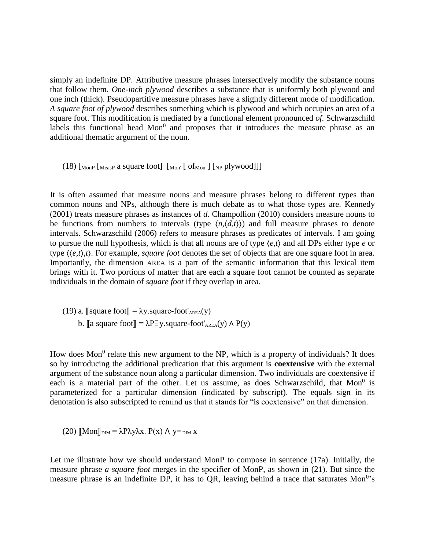simply an indefinite DP. Attributive measure phrases intersectively modify the substance nouns that follow them. *One-inch plywood* describes a substance that is uniformly both plywood and one inch (thick). Pseudopartitive measure phrases have a slightly different mode of modification. *A square foot of plywood* describes something which is plywood and which occupies an area of a square foot. This modification is mediated by a functional element pronounced *of.* Schwarzschild labels this functional head  $Mon<sup>0</sup>$  and proposes that it introduces the measure phrase as an additional thematic argument of the noun.

(18)  $\lceil_{\text{MonP}}$   $\lceil_{\text{MeasP}}$  a square foot $\lceil_{\text{Mon}}$   $\lceil_{\text{Mon}}$   $\lceil_{\text{NP}}$  plywood]]]

It is often assumed that measure nouns and measure phrases belong to different types than common nouns and NPs, although there is much debate as to what those types are. Kennedy (2001) treats measure phrases as instances of *d*. Champollion (2010) considers measure nouns to be functions from numbers to intervals (type  $\langle n, \langle d, t \rangle$ ) and full measure phrases to denote intervals. Schwarzschild (2006) refers to measure phrases as predicates of intervals. I am going to pursue the null hypothesis, which is that all nouns are of type ⟨*e,t*⟩ and all DPs either type *e* or type ⟨⟨*e,t*⟩*,t*⟩. For example, *square foot* denotes the set of objects that are one square foot in area. Importantly, the dimension AREA is a part of the semantic information that this lexical item brings with it. Two portions of matter that are each a square foot cannot be counted as separate individuals in the domain of *square foot* if they overlap in area.

(19) a.  $\lbrack \lbrack \text{square foot} \rbrack = \lambda y.\text{square-foot}'_{\text{AREA}}(y)$ b.  $\|$ a square foot $\| = \lambda P \exists y$ .square-foot'<sub>AREA</sub>(y)  $\wedge P(y)$ 

How does Mon<sup>0</sup> relate this new argument to the NP, which is a property of individuals? It does so by introducing the additional predication that this argument is **coextensive** with the external argument of the substance noun along a particular dimension. Two individuals are coextensive if each is a material part of the other. Let us assume, as does Schwarzschild, that  $Mon<sup>0</sup>$  is parameterized for a particular dimension (indicated by subscript). The equals sign in its denotation is also subscripted to remind us that it stands for "is coextensive" on that dimension.

(20) 
$$
[\![Mon]\!]_{\text{DIM}} = \lambda P \lambda y \lambda x. P(x) \wedge y =_{\text{DIM X}}
$$

Let me illustrate how we should understand MonP to compose in sentence (17a). Initially, the measure phrase *a square foot* merges in the specifier of MonP, as shown in (21). But since the measure phrase is an indefinite DP, it has to QR, leaving behind a trace that saturates  $Mon^{0.5}$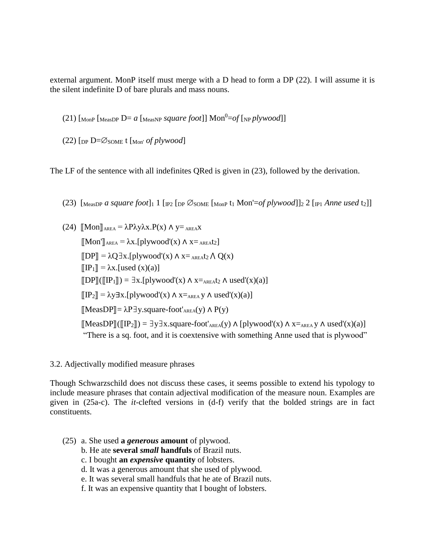external argument. MonP itself must merge with a D head to form a DP (22). I will assume it is the silent indefinite D of bare plurals and mass nouns.

(21)  $\lceil \text{MonP} \rceil$   $\lceil \text{MeasDP} \rceil$   $\lceil \text{MeasNP} \rceil$  *square foot* $\lceil \text{Non^0=} \rceil$   $\lceil \text{NP} \rceil$   $\lceil \text{NPOO} \rceil$ 

(22)  $[$ DP  $D = \emptyset$  SOME t  $[$ Mon' *of plywood*]

The LF of the sentence with all indefinites QRed is given in (23), followed by the derivation.

(23) [MeasDP *a square foot*]<sup>1</sup> 1 [IP2 [DP ∅SOME [MonP t<sup>1</sup> Mon'=*of plywood*]]<sup>2</sup> 2 [IP1 *Anne used* t2]]

(24)  $\text{Mon}$ <sub>AREA</sub> =  $\lambda$ P $\lambda$ y $\lambda$ x.P(x)  $\Lambda$  y=  $_{\text{AREAX}}$  $\text{[[Mon']_{AREA}} = \lambda x.\text{[plywood']}(x) \wedge x = \text{AREA}t_2$  $\llbracket DP \rrbracket = \lambda Q \exists x. [plywood'(x) \land x =_{AREA} t_2 \land Q(x)$  $\llbracket \text{IP}_1 \rrbracket = \lambda \text{x}.$ [used (x)(a)]  $\text{[DPI]}(\text{[IP1]}) = \exists x.\text{[plywood'(x) \land x =_{AREA}t_2 \land used'(x)(a)]}$  $[[IP_2]] = \lambda y \exists x .[plywood'(x) \land x =_{AREA} y \land used'(x)(a)]$  $[\text{MeasDP}] = \lambda \text{Py}$ . square-foot'<sub>AREA</sub>(y)  $\wedge$  P(y)  $\llbracket \text{MeasDP} \rrbracket(\llbracket \text{IP}_2 \rrbracket) = \exists y \exists x.\text{square-foot'}_{AREA}(y) \land \llbracket \text{plywood'}(x) \land x =_{AREA} y \land \text{used'}(x)(a) \rrbracket$ "There is a sq. foot, and it is coextensive with something Anne used that is plywood"

3.2. Adjectivally modified measure phrases

Though Schwarzschild does not discuss these cases, it seems possible to extend his typology to include measure phrases that contain adjectival modification of the measure noun. Examples are given in (25a-c). The *it*-clefted versions in (d-f) verify that the bolded strings are in fact constituents.

- (25) a. She used **a** *generous* **amount** of plywood.
	- b. He ate **several** *small* **handfuls** of Brazil nuts.
	- c. I bought **an** *expensive* **quantity** of lobsters.
	- d. It was a generous amount that she used of plywood.
	- e. It was several small handfuls that he ate of Brazil nuts.
	- f. It was an expensive quantity that I bought of lobsters.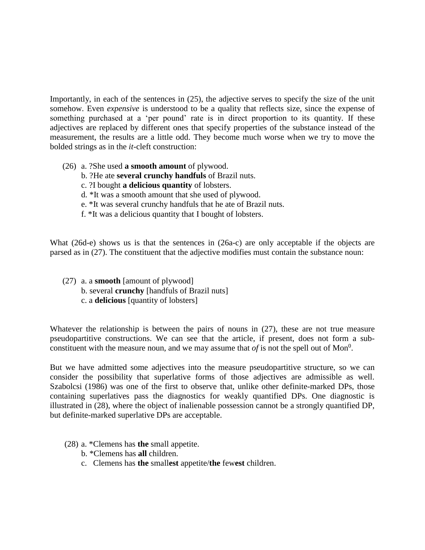Importantly, in each of the sentences in (25), the adjective serves to specify the size of the unit somehow. Even *expensive* is understood to be a quality that reflects size, since the expense of something purchased at a 'per pound' rate is in direct proportion to its quantity. If these adjectives are replaced by different ones that specify properties of the substance instead of the measurement, the results are a little odd. They become much worse when we try to move the bolded strings as in the *it*-cleft construction:

- (26) a. ?She used **a smooth amount** of plywood.
	- b. ?He ate **several crunchy handfuls** of Brazil nuts.
	- c. ?I bought **a delicious quantity** of lobsters.
	- d. \*It was a smooth amount that she used of plywood.
	- e. \*It was several crunchy handfuls that he ate of Brazil nuts.
	- f. \*It was a delicious quantity that I bought of lobsters.

What (26d-e) shows us is that the sentences in (26a-c) are only acceptable if the objects are parsed as in (27). The constituent that the adjective modifies must contain the substance noun:

(27) a. a **smooth** [amount of plywood] b. several **crunchy** [handfuls of Brazil nuts] c. a **delicious** [quantity of lobsters]

Whatever the relationship is between the pairs of nouns in (27), these are not true measure pseudopartitive constructions. We can see that the article, if present, does not form a subconstituent with the measure noun, and we may assume that  $of$  is not the spell out of Mon<sup>0</sup>.

But we have admitted some adjectives into the measure pseudopartitive structure, so we can consider the possibility that superlative forms of those adjectives are admissible as well. Szabolcsi (1986) was one of the first to observe that, unlike other definite-marked DPs, those containing superlatives pass the diagnostics for weakly quantified DPs. One diagnostic is illustrated in (28), where the object of inalienable possession cannot be a strongly quantified DP, but definite-marked superlative DPs are acceptable.

- (28) a. \*Clemens has **the** small appetite.
	- b. \*Clemens has **all** children.
	- c. Clemens has **the** small**est** appetite/**the** few**est** children.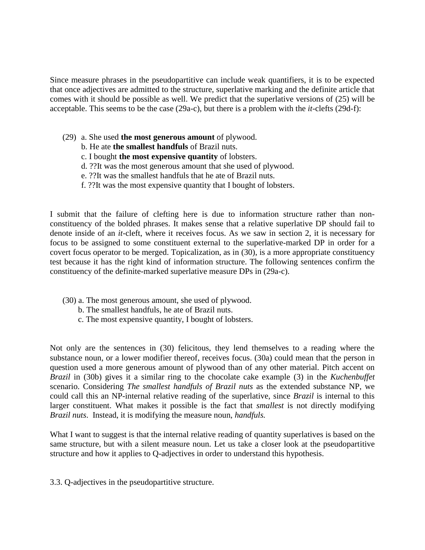Since measure phrases in the pseudopartitive can include weak quantifiers, it is to be expected that once adjectives are admitted to the structure, superlative marking and the definite article that comes with it should be possible as well. We predict that the superlative versions of (25) will be acceptable. This seems to be the case (29a-c), but there is a problem with the *it-*clefts (29d-f):

- (29) a. She used **the most generous amount** of plywood.
	- b. He ate **the smallest handfuls** of Brazil nuts.
	- c. I bought **the most expensive quantity** of lobsters.
	- d. ??It was the most generous amount that she used of plywood.
	- e. ??It was the smallest handfuls that he ate of Brazil nuts.
	- f. ??It was the most expensive quantity that I bought of lobsters.

I submit that the failure of clefting here is due to information structure rather than nonconstituency of the bolded phrases. It makes sense that a relative superlative DP should fail to denote inside of an *it-*cleft, where it receives focus. As we saw in section 2, it is necessary for focus to be assigned to some constituent external to the superlative-marked DP in order for a covert focus operator to be merged. Topicalization, as in (30), is a more appropriate constituency test because it has the right kind of information structure. The following sentences confirm the constituency of the definite-marked superlative measure DPs in (29a-c).

- (30) a. The most generous amount, she used of plywood.
	- b. The smallest handfuls, he ate of Brazil nuts.
	- c. The most expensive quantity, I bought of lobsters.

Not only are the sentences in (30) felicitous, they lend themselves to a reading where the substance noun, or a lower modifier thereof, receives focus. (30a) could mean that the person in question used a more generous amount of plywood than of any other material. Pitch accent on *Brazil* in (30b) gives it a similar ring to the chocolate cake example (3) in the *Kuchenbuffet* scenario. Considering *The smallest handfuls of Brazil nuts* as the extended substance NP, we could call this an NP-internal relative reading of the superlative, since *Brazil* is internal to this larger constituent. What makes it possible is the fact that *smallest* is not directly modifying *Brazil nuts*. Instead, it is modifying the measure noun, *handfuls.*

What I want to suggest is that the internal relative reading of quantity superlatives is based on the same structure, but with a silent measure noun. Let us take a closer look at the pseudopartitive structure and how it applies to Q-adjectives in order to understand this hypothesis.

3.3. Q-adjectives in the pseudopartitive structure.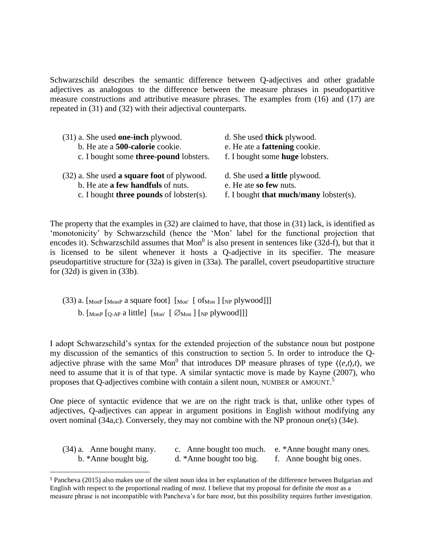Schwarzschild describes the semantic difference between Q-adjectives and other gradable adjectives as analogous to the difference between the measure phrases in pseudopartitive measure constructions and attributive measure phrases. The examples from (16) and (17) are repeated in (31) and (32) with their adjectival counterparts.

| $(31)$ a. She used <b>one-inch</b> plywood.       | d. She used thick plywood.                    |
|---------------------------------------------------|-----------------------------------------------|
| b. He ate a 500-calorie cookie.                   | e. He ate a <b>fattening</b> cookie.          |
| c. I bought some <b>three-pound</b> lobsters.     | f. I bought some <b>huge</b> lobsters.        |
| (32) a. She used <b>a square foot</b> of plywood. | d. She used a little plywood.                 |
| b. He ate <b>a few handfuls</b> of nuts.          | e. He ate so few nuts.                        |
| c. I bought <b>three pounds</b> of lobster(s).    | f. I bought <b>that much/many</b> lobster(s). |

The property that the examples in (32) are claimed to have, that those in (31) lack, is identified as 'monotonicity' by Schwarzschild (hence the 'Mon' label for the functional projection that encodes it). Schwarzschild assumes that  $Mon<sup>0</sup>$  is also present in sentences like (32d-f), but that it is licensed to be silent whenever it hosts a Q-adjective in its specifier. The measure pseudopartitive structure for (32a) is given in (33a). The parallel, covert pseudopartitive structure for  $(32d)$  is given in  $(33b)$ .

(33) a.  $\lbrack \text{MonP} \; \lbrack \text{MeasP} \; \text{a square foot} \rbrack$   $\lbrack \text{Mon'} \; \lbrack \; \text{ofMon} \; \rbrack$   $\lbrack \text{NP} \; \text{plywood} \rbrack \rbrack$ b.  $\lceil_{\text{MonP}} \lceil_{\text{O-AP}}$  a little $\lceil \lceil_{\text{Mon}} \rceil \lceil \mathcal{O}_{\text{Mon}} \rceil \lceil_{\text{NP}} \text{plywood} \rceil \rceil$ 

 $\overline{\phantom{a}}$ 

I adopt Schwarzschild's syntax for the extended projection of the substance noun but postpone my discussion of the semantics of this construction to section 5. In order to introduce the Qadjective phrase with the same Mon<sup>0</sup> that introduces DP measure phrases of type  $\langle \langle e, t \rangle, t \rangle$ , we need to assume that it is of that type. A similar syntactic move is made by Kayne (2007), who proposes that Q-adjectives combine with contain a silent noun, NUMBER or AMOUNT.<sup>5</sup>

One piece of syntactic evidence that we are on the right track is that, unlike other types of adjectives, Q-adjectives can appear in argument positions in English without modifying any overt nominal (34a,c). Conversely, they may not combine with the NP pronoun *one*(*s*) (34e).

| $(34)$ a. Anne bought many. |                          | c. Anne bought too much. e. *Anne bought many ones. |
|-----------------------------|--------------------------|-----------------------------------------------------|
| b. *Anne bought big.        | d. *Anne bought too big. | f. Anne bought big ones.                            |

<sup>5</sup> Pancheva (2015) also makes use of the silent noun idea in her explanation of the difference between Bulgarian and English with respect to the proportional reading of *most.* I believe that my proposal for definite *the most* as a measure phrase is not incompatible with Pancheva's for bare *most*, but this possibility requires further investigation.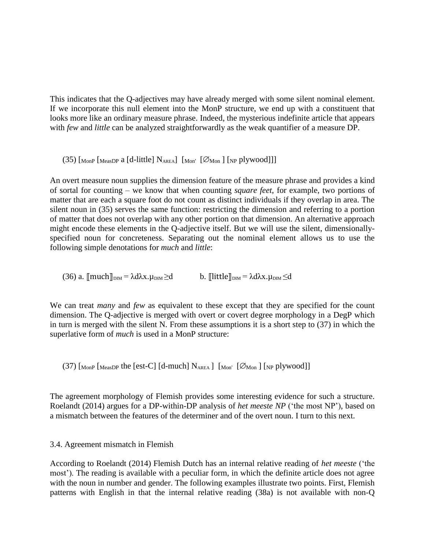This indicates that the Q-adjectives may have already merged with some silent nominal element. If we incorporate this null element into the MonP structure, we end up with a constituent that looks more like an ordinary measure phrase. Indeed, the mysterious indefinite article that appears with *few* and *little* can be analyzed straightforwardly as the weak quantifier of a measure DP.

(35)  $\left[\text{MonP}\left[\text{MeasDP}\right] \text{ and } \text{d-little}\right] \text{N<sub>AREA</sub>} \left[\text{Mon' } \left[\text{Ø}\text{Mon}\right] \left[\text{NP} \text{plywood}\right]\right]$ 

An overt measure noun supplies the dimension feature of the measure phrase and provides a kind of sortal for counting – we know that when counting *square feet*, for example, two portions of matter that are each a square foot do not count as distinct individuals if they overlap in area. The silent noun in (35) serves the same function: restricting the dimension and referring to a portion of matter that does not overlap with any other portion on that dimension. An alternative approach might encode these elements in the Q-adjective itself. But we will use the silent, dimensionallyspecified noun for concreteness. Separating out the nominal element allows us to use the following simple denotations for *much* and *little*:

(36) a.  $\text{Imuch}\|_{\text{DM}} = \lambda d\lambda x.\mu_{\text{DM}} \geq d$  b.  $\text{[little}\|_{\text{DM}} = \lambda d\lambda x.\mu_{\text{DM}} \leq d$ 

We can treat *many* and *few* as equivalent to these except that they are specified for the count dimension. The Q-adjective is merged with overt or covert degree morphology in a DegP which in turn is merged with the silent N. From these assumptions it is a short step to (37) in which the superlative form of *much* is used in a MonP structure:

 $(37)$  [MonP [MeasDP the [est-C] [d-much]  $N_{AREA}$ ] [Mon' [ $\varnothing$ Mon] [NP plywood]]

The agreement morphology of Flemish provides some interesting evidence for such a structure. Roelandt (2014) argues for a DP-within-DP analysis of *het meeste NP* ('the most NP'), based on a mismatch between the features of the determiner and of the overt noun. I turn to this next.

### 3.4. Agreement mismatch in Flemish

According to Roelandt (2014) Flemish Dutch has an internal relative reading of *het meeste* ('the most'). The reading is available with a peculiar form, in which the definite article does not agree with the noun in number and gender. The following examples illustrate two points. First, Flemish patterns with English in that the internal relative reading (38a) is not available with non-Q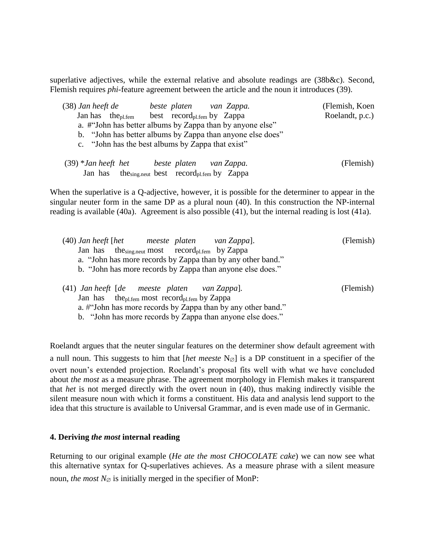superlative adjectives, while the external relative and absolute readings are (38b&c). Second, Flemish requires *phi*-feature agreement between the article and the noun it introduces (39).

| $(38)$ Jan heeft de | beste platen van Zappa.                                              | (Flemish, Koen  |
|---------------------|----------------------------------------------------------------------|-----------------|
|                     | Jan has the <sub>pl.fem</sub> best record <sub>pl.fem</sub> by Zappa | Roelandt, p.c.) |
|                     | a. #"John has better albums by Zappa than by anyone else"            |                 |
|                     | b. "John has better albums by Zappa than anyone else does"           |                 |
|                     | c. "John has the best albums by Zappa that exist"                    |                 |
|                     |                                                                      |                 |
|                     | $(39)$ *Jan heeft het beste platen van Zappa.                        | (Flemish)       |
|                     | Jan has the sing.neut best record <sub>pl.fem</sub> by Zappa         |                 |

When the superlative is a Q-adjective, however, it is possible for the determiner to appear in the singular neuter form in the same DP as a plural noun (40). In this construction the NP-internal reading is available (40a). Agreement is also possible (41), but the internal reading is lost (41a).

|                                                               | $(40)$ Jan heeft [het meeste platen van Zappa].              | (Flemish) |
|---------------------------------------------------------------|--------------------------------------------------------------|-----------|
|                                                               | Jan has the sing neut most record <sub>pl.fem</sub> by Zappa |           |
|                                                               | a. "John has more records by Zappa than by any other band."  |           |
|                                                               | b. "John has more records by Zappa than anyone else does."   |           |
| $(41)$ Jan heeft $\lceil de \rceil$ meeste platen van Zappal. |                                                              | (Flemish) |

(41) *Jan heeft* [*de meeste platen van Zappa*]*.* (Flemish) Jan has the<sub>pl.fem</sub> most record<sub>pl.fem</sub> by Zappa a. #"John has more records by Zappa than by any other band." b. "John has more records by Zappa than anyone else does."

Roelandt argues that the neuter singular features on the determiner show default agreement with a null noun. This suggests to him that [*het meeste*  $N_{\emptyset}$ ] is a DP constituent in a specifier of the overt noun's extended projection. Roelandt's proposal fits well with what we have concluded about *the most* as a measure phrase. The agreement morphology in Flemish makes it transparent that *het* is not merged directly with the overt noun in (40), thus making indirectly visible the silent measure noun with which it forms a constituent. His data and analysis lend support to the idea that this structure is available to Universal Grammar, and is even made use of in Germanic.

#### **4. Deriving** *the most* **internal reading**

Returning to our original example (*He ate the most CHOCOLATE cake*) we can now see what this alternative syntax for Q-superlatives achieves. As a measure phrase with a silent measure noun, *the most*  $N_{\emptyset}$  is initially merged in the specifier of MonP: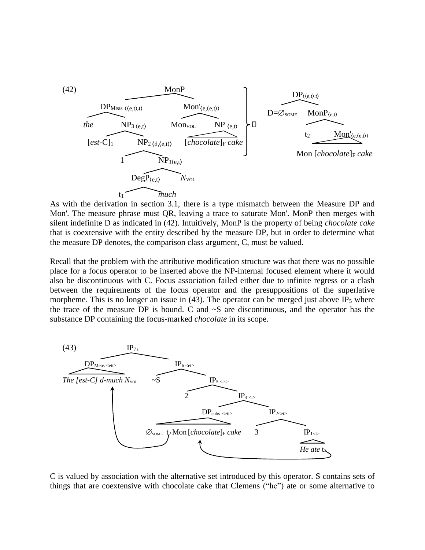

As with the derivation in section 3.1, there is a type mismatch between the Measure DP and Mon'. The measure phrase must QR, leaving a trace to saturate Mon'. MonP then merges with silent indefinite D as indicated in (42). Intuitively, MonP is the property of being *chocolate cake* that is coextensive with the entity described by the measure DP, but in order to determine what the measure DP denotes, the comparison class argument, C, must be valued.

Recall that the problem with the attributive modification structure was that there was no possible place for a focus operator to be inserted above the NP-internal focused element where it would also be discontinuous with C. Focus association failed either due to infinite regress or a clash between the requirements of the focus operator and the presuppositions of the superlative morpheme. This is no longer an issue in  $(43)$ . The operator can be merged just above IP<sub>5</sub> where the trace of the measure DP is bound. C and  $\sim$ S are discontinuous, and the operator has the substance DP containing the focus-marked *chocolate* in its scope.



C is valued by association with the alternative set introduced by this operator. S contains sets of things that are coextensive with chocolate cake that Clemens ("he") ate or some alternative to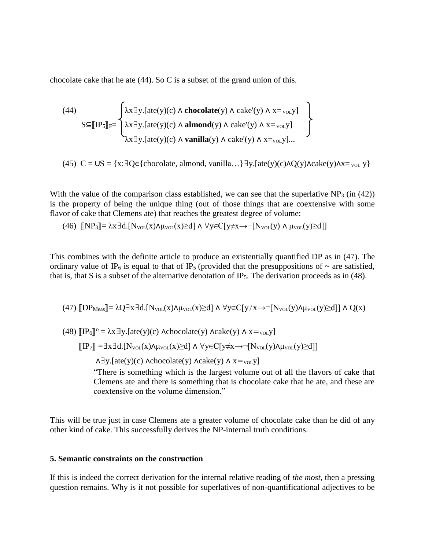chocolate cake that he ate (44). So C is a subset of the grand union of this.

(44)  
\n
$$
S \subseteq [[IP5]]F = \begin{cases} \lambda x \exists y. [ate(y)(c) \land chocolate(y) \land cake'(y) \land x=_{\text{vol}} y] \\ \lambda x \exists y. [ate(y)(c) \land almost](y) \land cake'(y) \land x=_{\text{vol}} y] \\ \lambda x \exists y. [ate(y)(c) \land vanilla(y) \land cake'(y) \land x=_{\text{vol}} y] \dots \end{cases}
$$

(45)  $C = \bigcup S = \{x : \exists Q \in \{chocolate, \text{almost, } \text{vanilla...}\} \exists y. [\text{ate}(y)(c) \land Q(y) \land \text{take}(y) \land x = v_{\text{OL}} y\}$ 

With the value of the comparison class established, we can see that the superlative  $NP_3$  (in (42)) is the property of being the unique thing (out of those things that are coextensive with some flavor of cake that Clemens ate) that reaches the greatest degree of volume:

$$
(46) \quad \llbracket NP_3 \rrbracket = \lambda x \exists d. [N_{\text{vol}}(x) \wedge \mu_{\text{vol}}(x) \geq d] \wedge \forall y \in C[y \neq x \rightarrow \neg [N_{\text{vol}}(y) \wedge \mu_{\text{vol}}(y) \geq d]]
$$

This combines with the definite article to produce an existentially quantified DP as in (47). The ordinary value of IP<sub>6</sub> is equal to that of IP<sub>5</sub> (provided that the presuppositions of  $\sim$  are satisfied, that is, that S is a subset of the alternative denotation of IP<sub>5</sub>. The derivation proceeds as in (48).

$$
(47) \text{ [DP}_{Meas}]\text{ = }\lambda Q\exists x\exists d.[N_{\text{vol}}(x)\wedge\mu_{\text{vol}}(x)\text{ } \geq d]\wedge \forall y\in C[y\neq x\to \neg[N_{\text{vol}}(y)\wedge\mu_{\text{vol}}(y)\text{ } \geq d]]\wedge Q(x)
$$

(48)  $\left[IP_6\right]$ <sup>o</sup> =  $\lambda$ x  $\exists$ y.[ate(y)(c)  $\Lambda$ chocolate(y)  $\Lambda$  acake(y)  $\Lambda$  x = <sub>vol</sub>y]  $\text{sup}_{\tau}$  = = x = d.  $\text{[N_{vol}(x) \land \mu_{vol}(x) \geq d]} \land \forall y \in C[y \neq x \rightarrow \neg \text{[N_{vol}(y) \land \mu_{vol}(y) \geq d]}$  $\Lambda \exists y$ .[ate(y)(c)  $\Lambda$ chocolate(y)  $\Lambda$ cake(y)  $\Lambda$  x=<sub>voL</sub>y] "There is something which is the largest volume out of all the flavors of cake that Clemens ate and there is something that is chocolate cake that he ate, and these are coextensive on the volume dimension."

This will be true just in case Clemens ate a greater volume of chocolate cake than he did of any other kind of cake. This successfully derives the NP-internal truth conditions.

#### **5. Semantic constraints on the construction**

If this is indeed the correct derivation for the internal relative reading of *the most*, then a pressing question remains. Why is it not possible for superlatives of non-quantificational adjectives to be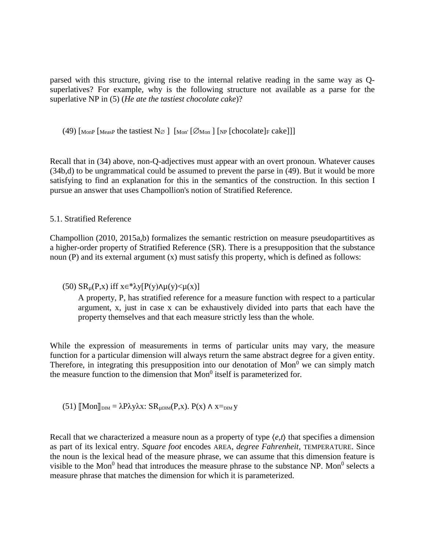parsed with this structure, giving rise to the internal relative reading in the same way as Qsuperlatives? For example, why is the following structure not available as a parse for the superlative NP in (5) (*He ate the tastiest chocolate cake*)?

(49)  $\lceil \text{MonP} \rceil$  [MeasP the tastiest  $N\varnothing$   $\lceil \text{MonP} \rceil$   $\lceil \varnothing$  Mon  $\lceil \text{InP} \rceil$  [chocolate]  $\lceil \text{re}_r \rceil$  cake]

Recall that in (34) above, non-Q-adjectives must appear with an overt pronoun. Whatever causes (34b,d) to be ungrammatical could be assumed to prevent the parse in (49). But it would be more satisfying to find an explanation for this in the semantics of the construction. In this section I pursue an answer that uses Champollion's notion of Stratified Reference.

## 5.1. Stratified Reference

Champollion (2010, 2015a,b) formalizes the semantic restriction on measure pseudopartitives as a higher-order property of Stratified Reference (SR). There is a presupposition that the substance noun (P) and its external argument (x) must satisfy this property, which is defined as follows:

## (50)  $SR_\mu(P,x)$  iff  $x \in \sqrt[k]{P(y)} \wedge \mu(y) \leq \mu(x)$

A property, P, has stratified reference for a measure function with respect to a particular argument, x, just in case x can be exhaustively divided into parts that each have the property themselves and that each measure strictly less than the whole.

While the expression of measurements in terms of particular units may vary, the measure function for a particular dimension will always return the same abstract degree for a given entity. Therefore, in integrating this presupposition into our denotation of  $Mon<sup>0</sup>$  we can simply match the measure function to the dimension that  $Mon<sup>0</sup>$  itself is parameterized for.

(51) 
$$
[\![Mon]\!]_{\text{DIM}} = \lambda P \lambda y \lambda x \colon SR_{\mu \text{DIM}}(P, x). P(x) \land x =_{\text{DIM}} y
$$

Recall that we characterized a measure noun as a property of type ⟨*e,t*⟩ that specifies a dimension as part of its lexical entry. *Square foot* encodes AREA, *degree Fahrenheit,* TEMPERATURE. Since the noun is the lexical head of the measure phrase, we can assume that this dimension feature is visible to the Mon<sup>0</sup> head that introduces the measure phrase to the substance NP. Mon<sup>0</sup> selects a measure phrase that matches the dimension for which it is parameterized.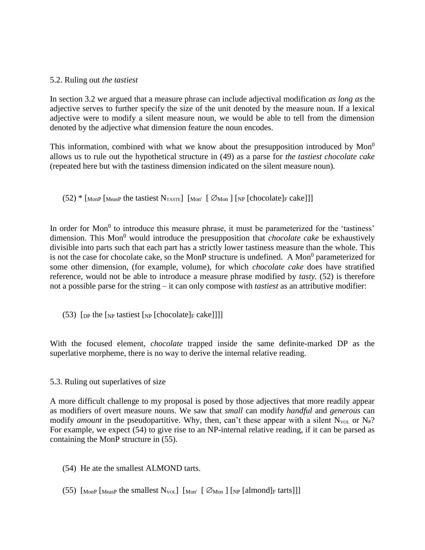#### 5.2. Ruling out *the tastiest*

In section 3.2 we argued that a measure phrase can include adjectival modification *as long as* the adjective serves to further specify the size of the unit denoted by the measure noun. If a lexical adjective were to modify a silent measure noun, we would be able to tell from the dimension denoted by the adjective what dimension feature the noun encodes.

This information, combined with what we know about the presupposition introduced by  $Mon<sup>0</sup>$ allows us to rule out the hypothetical structure in (49) as a parse for *the tastiest chocolate cake* (repeated here but with the tastiness dimension indicated on the silent measure noun).

 $(52)$ <sup>\*</sup> [MonP [MeasP the tastiest N<sub>TASTE</sub>] [Mon' [ $\varnothing$ Mon ] [NP [chocolate]<sub>F</sub> cake]]]

In order for Mon<sup>0</sup> to introduce this measure phrase, it must be parameterized for the 'tastiness' dimension. This Mon<sup>0</sup> would introduce the presupposition that *chocolate cake* be exhaustively divisible into parts such that each part has a strictly lower tastiness measure than the whole. This is not the case for chocolate cake, so the MonP structure is undefined. A Mon<sup>0</sup> parameterized for some other dimension, (for example, volume), for which *chocolate cake* does have stratified reference, would not be able to introduce a measure phrase modified by *tasty.* (52) is therefore not a possible parse for the string – it can only compose with *tastiest* as an attributive modifier:

(53) [ $_{DP}$  the [ $_{NP}$  tastiest [ $_{NP}$  [chocolate] $_{F}$  cake]]]]

With the focused element, *chocolate* trapped inside the same definite-marked DP as the superlative morpheme, there is no way to derive the internal relative reading.

### 5.3. Ruling out superlatives of size

A more difficult challenge to my proposal is posed by those adjectives that more readily appear as modifiers of overt measure nouns. We saw that *small* can modify *handful* and *generous* can modify *amount* in the pseudopartitive. Why, then, can't these appear with a silent  $N_{\text{vol}}$  or  $N_{\text{#}}$ ? For example, we expect (54) to give rise to an NP-internal relative reading, if it can be parsed as containing the MonP structure in (55).

- (54) He ate the smallest ALMOND tarts.
- (55)  $\left[\text{MonP} \left[\text{MeasP} \text{ the smallest } N_{\text{VOL}}\right] \left[\text{Mon} \left[\text{Ø} \text{Mon}\right] \left[\text{NP} \left[\text{almond}\right] \text{F}{\text{tarts}}\right]\right]\right]$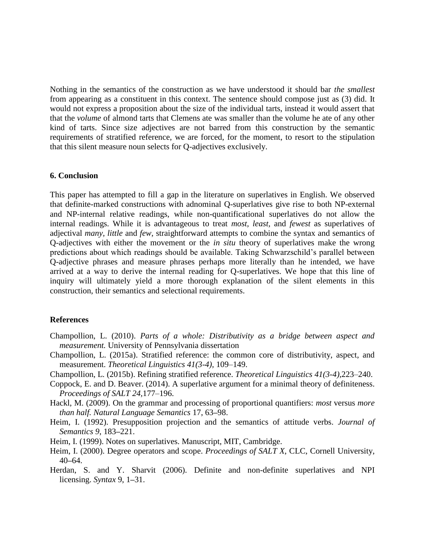Nothing in the semantics of the construction as we have understood it should bar *the smallest* from appearing as a constituent in this context. The sentence should compose just as (3) did. It would not express a proposition about the size of the individual tarts, instead it would assert that that the *volume* of almond tarts that Clemens ate was smaller than the volume he ate of any other kind of tarts. Since size adjectives are not barred from this construction by the semantic requirements of stratified reference, we are forced, for the moment, to resort to the stipulation that this silent measure noun selects for Q-adjectives exclusively.

#### **6. Conclusion**

This paper has attempted to fill a gap in the literature on superlatives in English. We observed that definite-marked constructions with adnominal Q-superlatives give rise to both NP-external and NP-internal relative readings, while non-quantificational superlatives do not allow the internal readings. While it is advantageous to treat *most, least,* and *fewest* as superlatives of adjectival *many, little* and *few*, straightforward attempts to combine the syntax and semantics of Q-adjectives with either the movement or the *in situ* theory of superlatives make the wrong predictions about which readings should be available. Taking Schwarzschild's parallel between Q-adjective phrases and measure phrases perhaps more literally than he intended, we have arrived at a way to derive the internal reading for Q-superlatives. We hope that this line of inquiry will ultimately yield a more thorough explanation of the silent elements in this construction, their semantics and selectional requirements.

#### **References**

- Champollion, L. (2010). *Parts of a whole: Distributivity as a bridge between aspect and measurement.* University of Pennsylvania dissertation
- Champollion, L. (2015a). Stratified reference: the common core of distributivity, aspect, and measurement. *Theoretical Linguistics 41(3-4),* 109–149.
- Champollion, L. (2015b). Refining stratified reference. *Theoretical Linguistics 41(3-4),*223–240.
- Coppock, E. and D. Beaver. (2014). A superlative argument for a minimal theory of definiteness. *Proceedings of SALT 24,*177–196.
- Hackl, M. (2009). On the grammar and processing of proportional quantifiers: *most* versus *more than half. Natural Language Semantics* 17, 63**–**98.
- Heim, I. (1992). Presupposition projection and the semantics of attitude verbs. *Journal of Semantics 9*, 183**–**221.
- Heim, I. (1999). Notes on superlatives. Manuscript, MIT, Cambridge.
- Heim, I. (2000). Degree operators and scope. *Proceedings of SALT X*, CLC, Cornell University, 40**–**64.
- Herdan, S. and Y. Sharvit (2006). Definite and non-definite superlatives and NPI licensing. *Syntax* 9, 1**–**31.